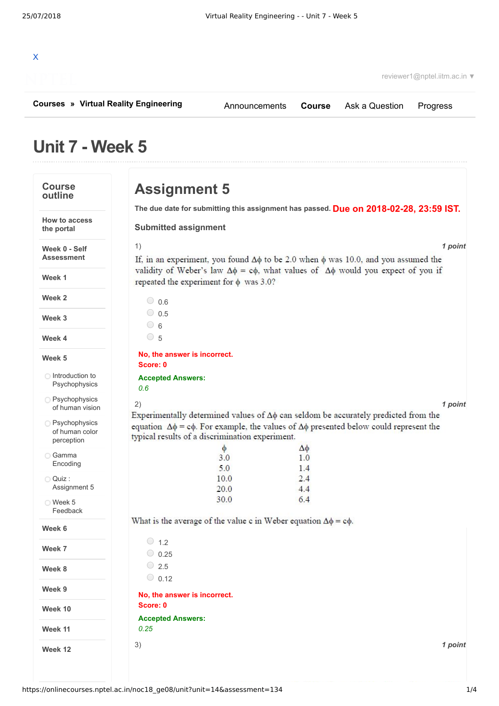

reviewer1@nptel.iitm.ac.in ▼

**[Courses](https://onlinecourses.nptel.ac.in/) » [Virtual Reality Engineering](https://onlinecourses.nptel.ac.in/noc18_ge08/course)**

[Announcements](https://onlinecourses.nptel.ac.in/noc18_ge08/announcements) **[Course](https://onlinecourses.nptel.ac.in/noc18_ge08/course)** [Ask a Question](https://onlinecourses.nptel.ac.in/noc18_ge08/forum) [Progress](https://onlinecourses.nptel.ac.in/noc18_ge08/student/home)

# **Unit 7 - Week 5**

### **Course outline**

**Assignment 5**

**Due on 2018-02-28, 23:59 IST. The due date for submitting this assignment has passed.**

### **Week 0 - Self Assessment**

**How to access the portal**

**Week 1**

**Week 2**

**Week 3**

**Week 4**

### **Week 5**

 $\bigcirc$  Introduction to [Psychophysics](https://onlinecourses.nptel.ac.in/noc18_ge08/unit?unit=14&lesson=62)

O [Psychophysics](https://onlinecourses.nptel.ac.in/noc18_ge08/unit?unit=14&lesson=63) of human vision

O [Psychophysics](https://onlinecourses.nptel.ac.in/noc18_ge08/unit?unit=14&lesson=64) of human color perception

- Gamma [Encoding](https://onlinecourses.nptel.ac.in/noc18_ge08/unit?unit=14&lesson=133)
- Quiz : [Assignment](https://onlinecourses.nptel.ac.in/noc18_ge08/assessment?name=134) 5
- Week 5 [Feedback](https://onlinecourses.nptel.ac.in/noc18_ge08/unit?unit=14&lesson=135)

**Week 6**

**Week 7**

**Week 8**

**Week 9**

**Week 10**

**Week 11**

**Week 12**

| <b>Submitted assignment</b>                     |                                                                                                                                                                                                             |
|-------------------------------------------------|-------------------------------------------------------------------------------------------------------------------------------------------------------------------------------------------------------------|
| 1)                                              | 1 point                                                                                                                                                                                                     |
| repeated the experiment for $\phi$ was 3.0?     | If, in an experiment, you found $\Delta\phi$ to be 2.0 when $\phi$ was 10.0, and you assumed the<br>validity of Weber's law $\Delta \phi = c\phi$ , what values of $\Delta \phi$ would you expect of you if |
| $\bigcirc$ 0.6                                  |                                                                                                                                                                                                             |
| $\circ$ 0.5                                     |                                                                                                                                                                                                             |
| $\circ$ 6                                       |                                                                                                                                                                                                             |
| $\circ$ 5                                       |                                                                                                                                                                                                             |
| No, the answer is incorrect.                    |                                                                                                                                                                                                             |
| Score: 0                                        |                                                                                                                                                                                                             |
| <b>Accepted Answers:</b>                        |                                                                                                                                                                                                             |
| 0.6                                             |                                                                                                                                                                                                             |
| 2)                                              | 1 point                                                                                                                                                                                                     |
|                                                 | Experimentally determined values of $\Delta\phi$ can seldom be accurately predicted from the                                                                                                                |
| typical results of a discrimination experiment. | equation $\Delta \phi = c\phi$ . For example, the values of $\Delta \phi$ presented below could represent the                                                                                               |
| φ                                               | Δφ                                                                                                                                                                                                          |
| 3.0                                             | 1.0                                                                                                                                                                                                         |
| 5.0                                             | 1.4                                                                                                                                                                                                         |

 $2.4$ 

 $4.4$ 

 $6.4$ 

What is the average of the value c in Weber equation  $\Delta \phi = c\phi$ .

10.0 20.0

30.0

| 1.2<br>- 1                               |         |
|------------------------------------------|---------|
| 0.25<br>◡                                |         |
| O<br>2.5                                 |         |
| 0.12<br>$\bigcirc$                       |         |
| No, the answer is incorrect.<br>Score: 0 |         |
| <b>Accepted Answers:</b>                 |         |
| 0.25                                     |         |
| 3)                                       | 1 point |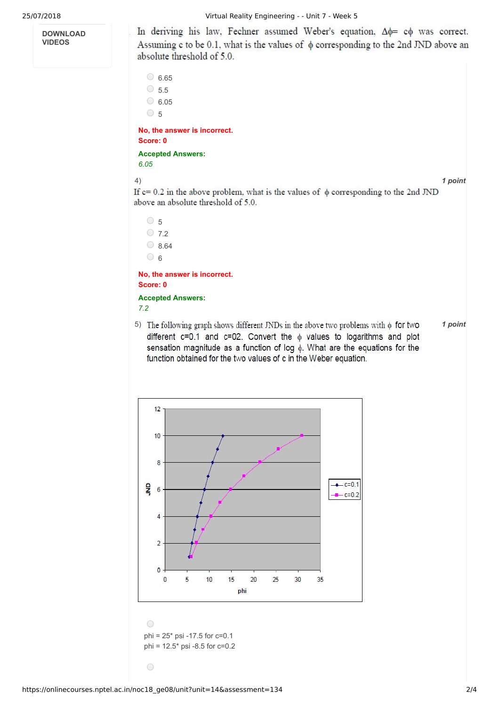**DOWNLOAD VIDEOS**

25/07/2018 Virtual Reality Engineering - - Unit 7 - Week 5

In deriving his law, Fechner assumed Weber's equation,  $\Delta \phi = c\phi$  was correct. Assuming c to be 0.1, what is the values of  $\phi$  corresponding to the 2nd JND above an absolute threshold of 5.0.

 $\circ$  6.65  $\circ$  5.5  $\circ$  6.05  $\circ$  5

**No, the answer is incorrect. Score: 0**

**Accepted Answers:** *6.05*

4) *1 point*

If  $c = 0.2$  in the above problem, what is the values of  $\phi$  corresponding to the 2nd JND above an absolute threshold of 5.0.



**No, the answer is incorrect. Score: 0 Accepted Answers:**

*7.2*

5) The following graph shows different JNDs in the above two problems with  $\phi$  for two  $\frac{1}{2}$  point different c=0.1 and c=02. Convert the  $\phi$  values to logarithms and plot sensation magnitude as a function of log  $\phi$ . What are the equations for the function obtained for the two values of c in the Weber equation.



phi = 25\* psi -17.5 for c=0.1 phi = 12.5\* psi -8.5 for c=0.2

 $\bigcirc$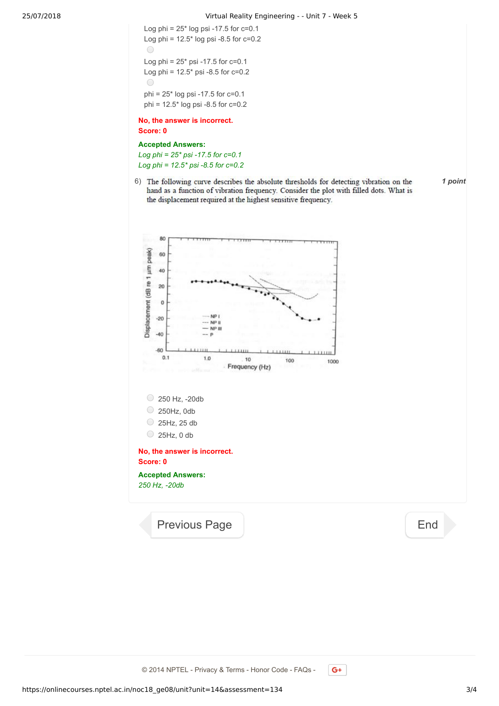Log phi =  $25*$  log psi -17.5 for  $c=0.1$ Log phi =  $12.5*$  log psi -8.5 for  $c=0.2$  $\bigcirc$ Log phi =  $25*$  psi -17.5 for  $c=0.1$ Log phi =  $12.5$ \* psi -8.5 for  $c=0.2$  $\bigcap$ phi = 25\* log psi -17.5 for c=0.1 phi = 12.5\* log psi -8.5 for c=0.2

**No, the answer is incorrect. Score: 0**

### **Accepted Answers:**

*Log phi = 25\* psi -17.5 for c=0.1 Log phi = 12.5\* psi -8.5 for c=0.2*

6) The following curve describes the absolute thresholds for detecting vibration on the  $\qquad$  1 point hand as a function of vibration frequency. Consider the plot with filled dots. What is the displacement required at the highest sensitive frequency.

80 Displacement (dB re 1 µm peak) 60 40 20  $\circ$ NP<sub>1</sub>  $-20$ NP II NP II  $-40$  $-60$  $0.1$ 1.0 10 100 1000 Frequency (Hz)  $\circ$  250 Hz, -20db 250Hz, 0db  $\bigcirc$  25Hz, 25 db  $\bigcirc$  25Hz, 0 db **No, the answer is incorrect. Score: 0 Accepted Answers:** *250 Hz, -20db*

[Previous Page](https://onlinecourses.nptel.ac.in/noc18_ge08/unit?unit=14&lesson=135) [End](https://onlinecourses.nptel.ac.in/noc18_ge08/course)

© 2014 NPTEL - Privacy & Terms - Honor Code - FAQs -

 $G<sup>+</sup>$